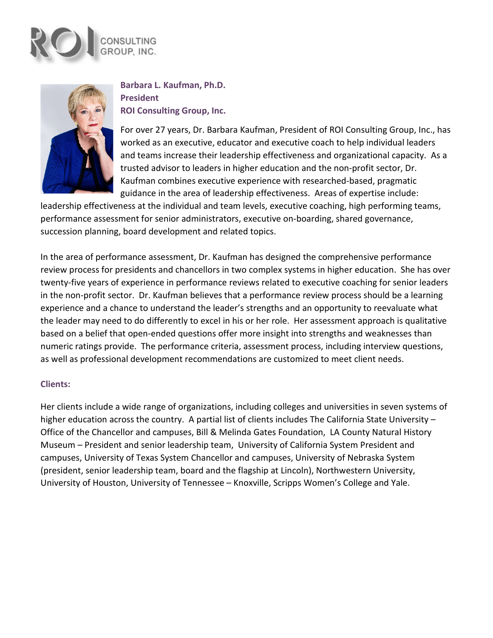



# **Barbara L. Kaufman, Ph.D. President ROI Consulting Group, Inc.**

For over 27 years, Dr. Barbara Kaufman, President of ROI Consulting Group, Inc., has worked as an executive, educator and executive coach to help individual leaders and teams increase their leadership effectiveness and organizational capacity. As a trusted advisor to leaders in higher education and the non-profit sector, Dr. Kaufman combines executive experience with researched-based, pragmatic guidance in the area of leadership effectiveness. Areas of expertise include:

leadership effectiveness at the individual and team levels, executive coaching, high performing teams, performance assessment for senior administrators, executive on-boarding, shared governance, succession planning, board development and related topics.

In the area of performance assessment, Dr. Kaufman has designed the comprehensive performance review process for presidents and chancellors in two complex systems in higher education. She has over twenty-five years of experience in performance reviews related to executive coaching for senior leaders in the non-profit sector. Dr. Kaufman believes that a performance review process should be a learning experience and a chance to understand the leader's strengths and an opportunity to reevaluate what the leader may need to do differently to excel in his or her role. Her assessment approach is qualitative based on a belief that open-ended questions offer more insight into strengths and weaknesses than numeric ratings provide. The performance criteria, assessment process, including interview questions, as well as professional development recommendations are customized to meet client needs.

## **Clients:**

Her clients include a wide range of organizations, including colleges and universities in seven systems of higher education across the country. A partial list of clients includes The California State University – Office of the Chancellor and campuses, Bill & Melinda Gates Foundation, LA County Natural History Museum – President and senior leadership team, University of California System President and campuses, University of Texas System Chancellor and campuses, University of Nebraska System (president, senior leadership team, board and the flagship at Lincoln), Northwestern University, University of Houston, University of Tennessee – Knoxville, Scripps Women's College and Yale.